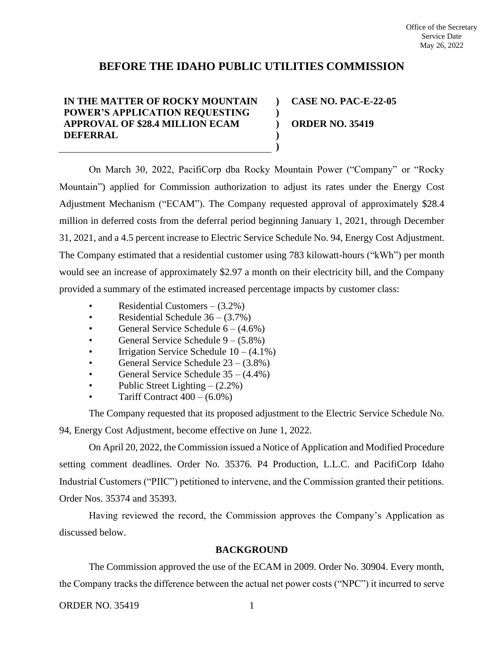# **BEFORE THE IDAHO PUBLIC UTILITIES COMMISSION**

**) )**

**) )**

# **IN THE MATTER OF ROCKY MOUNTAIN POWER'S APPLICATION REQUESTING APPROVAL OF \$28.4 MILLION ECAM DEFERRAL**

**) CASE NO. PAC-E-22-05 ORDER NO. 35419**

On March 30, 2022, PacifiCorp dba Rocky Mountain Power ("Company" or "Rocky Mountain") applied for Commission authorization to adjust its rates under the Energy Cost Adjustment Mechanism ("ECAM"). The Company requested approval of approximately \$28.4 million in deferred costs from the deferral period beginning January 1, 2021, through December 31, 2021, and a 4.5 percent increase to Electric Service Schedule No. 94, Energy Cost Adjustment. The Company estimated that a residential customer using 783 kilowatt-hours ("kWh") per month would see an increase of approximately \$2.97 a month on their electricity bill, and the Company provided a summary of the estimated increased percentage impacts by customer class:

- Residential Customers  $(3.2\%)$
- Residential Schedule  $36 (3.7\%)$
- General Service Schedule  $6 (4.6\%)$
- General Service Schedule 9 (5.8%)
- Irrigation Service Schedule  $10 (4.1\%)$
- General Service Schedule  $23 (3.8\%)$
- General Service Schedule 35 (4.4%)
- Public Street Lighting  $(2.2\%)$
- Tariff Contract  $400 (6.0\%)$

The Company requested that its proposed adjustment to the Electric Service Schedule No. 94, Energy Cost Adjustment, become effective on June 1, 2022.

On April 20, 2022, the Commission issued a Notice of Application and Modified Procedure setting comment deadlines. Order No. 35376. P4 Production, L.L.C. and PacifiCorp Idaho Industrial Customers ("PIIC") petitioned to intervene, and the Commission granted their petitions. Order Nos. 35374 and 35393.

Having reviewed the record, the Commission approves the Company's Application as discussed below.

## **BACKGROUND**

The Commission approved the use of the ECAM in 2009. Order No. 30904. Every month, the Company tracks the difference between the actual net power costs ("NPC") it incurred to serve

ORDER NO. 35419 1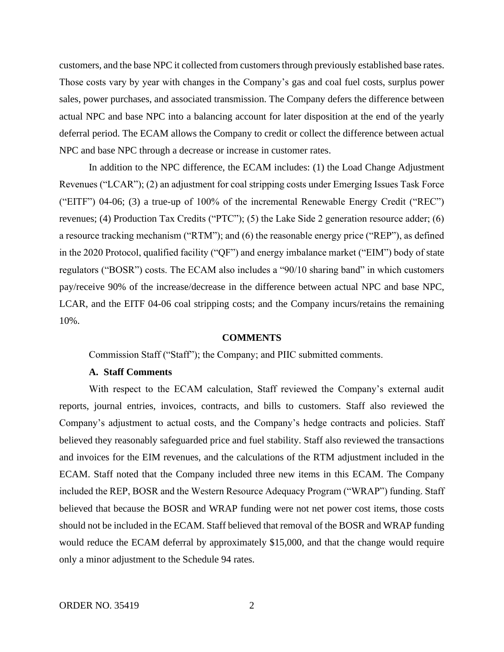customers, and the base NPC it collected from customers through previously established base rates. Those costs vary by year with changes in the Company's gas and coal fuel costs, surplus power sales, power purchases, and associated transmission. The Company defers the difference between actual NPC and base NPC into a balancing account for later disposition at the end of the yearly deferral period. The ECAM allows the Company to credit or collect the difference between actual NPC and base NPC through a decrease or increase in customer rates.

In addition to the NPC difference, the ECAM includes: (1) the Load Change Adjustment Revenues ("LCAR"); (2) an adjustment for coal stripping costs under Emerging Issues Task Force ("EITF") 04-06; (3) a true-up of 100% of the incremental Renewable Energy Credit ("REC") revenues; (4) Production Tax Credits ("PTC"); (5) the Lake Side 2 generation resource adder; (6) a resource tracking mechanism ("RTM"); and (6) the reasonable energy price ("REP"), as defined in the 2020 Protocol, qualified facility ("QF") and energy imbalance market ("EIM") body of state regulators ("BOSR") costs. The ECAM also includes a "90/10 sharing band" in which customers pay/receive 90% of the increase/decrease in the difference between actual NPC and base NPC, LCAR, and the EITF 04-06 coal stripping costs; and the Company incurs/retains the remaining 10%.

#### **COMMENTS**

Commission Staff ("Staff"); the Company; and PIIC submitted comments.

# **A. Staff Comments**

With respect to the ECAM calculation, Staff reviewed the Company's external audit reports, journal entries, invoices, contracts, and bills to customers. Staff also reviewed the Company's adjustment to actual costs, and the Company's hedge contracts and policies. Staff believed they reasonably safeguarded price and fuel stability. Staff also reviewed the transactions and invoices for the EIM revenues, and the calculations of the RTM adjustment included in the ECAM. Staff noted that the Company included three new items in this ECAM. The Company included the REP, BOSR and the Western Resource Adequacy Program ("WRAP") funding. Staff believed that because the BOSR and WRAP funding were not net power cost items, those costs should not be included in the ECAM. Staff believed that removal of the BOSR and WRAP funding would reduce the ECAM deferral by approximately \$15,000, and that the change would require only a minor adjustment to the Schedule 94 rates.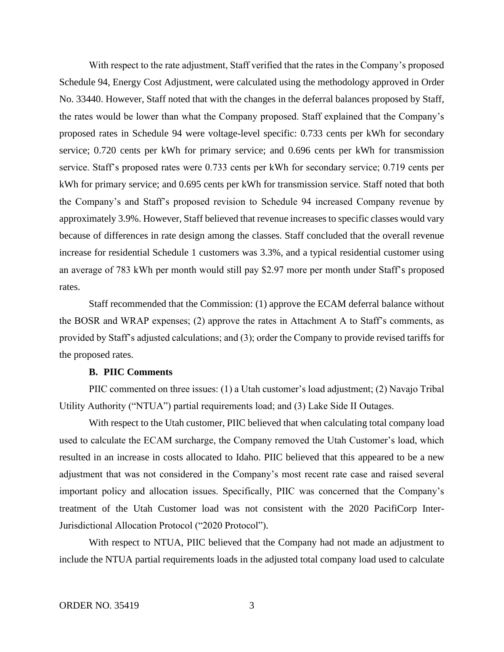With respect to the rate adjustment, Staff verified that the rates in the Company's proposed Schedule 94, Energy Cost Adjustment, were calculated using the methodology approved in Order No. 33440. However, Staff noted that with the changes in the deferral balances proposed by Staff, the rates would be lower than what the Company proposed. Staff explained that the Company's proposed rates in Schedule 94 were voltage-level specific: 0.733 cents per kWh for secondary service; 0.720 cents per kWh for primary service; and 0.696 cents per kWh for transmission service. Staff's proposed rates were 0.733 cents per kWh for secondary service; 0.719 cents per kWh for primary service; and 0.695 cents per kWh for transmission service. Staff noted that both the Company's and Staff's proposed revision to Schedule 94 increased Company revenue by approximately 3.9%. However, Staff believed that revenue increases to specific classes would vary because of differences in rate design among the classes. Staff concluded that the overall revenue increase for residential Schedule 1 customers was 3.3%, and a typical residential customer using an average of 783 kWh per month would still pay \$2.97 more per month under Staff's proposed rates.

Staff recommended that the Commission: (1) approve the ECAM deferral balance without the BOSR and WRAP expenses; (2) approve the rates in Attachment A to Staff's comments, as provided by Staff's adjusted calculations; and (3); order the Company to provide revised tariffs for the proposed rates.

### **B. PIIC Comments**

PIIC commented on three issues: (1) a Utah customer's load adjustment; (2) Navajo Tribal Utility Authority ("NTUA") partial requirements load; and (3) Lake Side II Outages.

With respect to the Utah customer, PIIC believed that when calculating total company load used to calculate the ECAM surcharge, the Company removed the Utah Customer's load, which resulted in an increase in costs allocated to Idaho. PIIC believed that this appeared to be a new adjustment that was not considered in the Company's most recent rate case and raised several important policy and allocation issues. Specifically, PIIC was concerned that the Company's treatment of the Utah Customer load was not consistent with the 2020 PacifiCorp Inter-Jurisdictional Allocation Protocol ("2020 Protocol").

With respect to NTUA, PIIC believed that the Company had not made an adjustment to include the NTUA partial requirements loads in the adjusted total company load used to calculate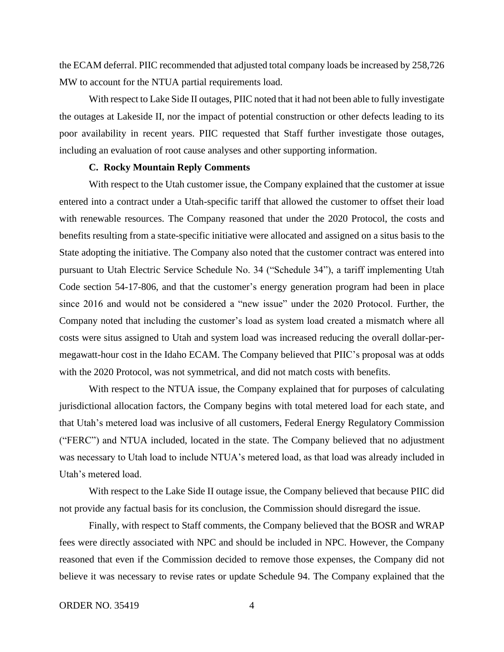the ECAM deferral. PIIC recommended that adjusted total company loads be increased by 258,726 MW to account for the NTUA partial requirements load.

With respect to Lake Side II outages, PIIC noted that it had not been able to fully investigate the outages at Lakeside II, nor the impact of potential construction or other defects leading to its poor availability in recent years. PIIC requested that Staff further investigate those outages, including an evaluation of root cause analyses and other supporting information.

## **C. Rocky Mountain Reply Comments**

With respect to the Utah customer issue, the Company explained that the customer at issue entered into a contract under a Utah-specific tariff that allowed the customer to offset their load with renewable resources. The Company reasoned that under the 2020 Protocol, the costs and benefits resulting from a state-specific initiative were allocated and assigned on a situs basis to the State adopting the initiative. The Company also noted that the customer contract was entered into pursuant to Utah Electric Service Schedule No. 34 ("Schedule 34"), a tariff implementing Utah Code section 54-17-806, and that the customer's energy generation program had been in place since 2016 and would not be considered a "new issue" under the 2020 Protocol. Further, the Company noted that including the customer's load as system load created a mismatch where all costs were situs assigned to Utah and system load was increased reducing the overall dollar-permegawatt-hour cost in the Idaho ECAM. The Company believed that PIIC's proposal was at odds with the 2020 Protocol, was not symmetrical, and did not match costs with benefits.

With respect to the NTUA issue, the Company explained that for purposes of calculating jurisdictional allocation factors, the Company begins with total metered load for each state, and that Utah's metered load was inclusive of all customers, Federal Energy Regulatory Commission ("FERC") and NTUA included, located in the state. The Company believed that no adjustment was necessary to Utah load to include NTUA's metered load, as that load was already included in Utah's metered load.

With respect to the Lake Side II outage issue, the Company believed that because PIIC did not provide any factual basis for its conclusion, the Commission should disregard the issue.

Finally, with respect to Staff comments, the Company believed that the BOSR and WRAP fees were directly associated with NPC and should be included in NPC. However, the Company reasoned that even if the Commission decided to remove those expenses, the Company did not believe it was necessary to revise rates or update Schedule 94. The Company explained that the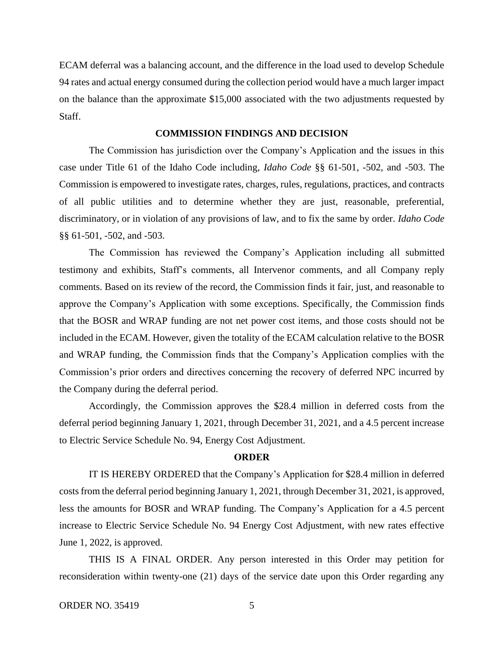ECAM deferral was a balancing account, and the difference in the load used to develop Schedule 94 rates and actual energy consumed during the collection period would have a much larger impact on the balance than the approximate \$15,000 associated with the two adjustments requested by Staff.

## **COMMISSION FINDINGS AND DECISION**

The Commission has jurisdiction over the Company's Application and the issues in this case under Title 61 of the Idaho Code including, *Idaho Code* §§ 61-501, -502, and -503. The Commission is empowered to investigate rates, charges, rules, regulations, practices, and contracts of all public utilities and to determine whether they are just, reasonable, preferential, discriminatory, or in violation of any provisions of law, and to fix the same by order. *Idaho Code* §§ 61-501, -502, and -503.

The Commission has reviewed the Company's Application including all submitted testimony and exhibits, Staff's comments, all Intervenor comments, and all Company reply comments. Based on its review of the record, the Commission finds it fair, just, and reasonable to approve the Company's Application with some exceptions. Specifically, the Commission finds that the BOSR and WRAP funding are not net power cost items, and those costs should not be included in the ECAM. However, given the totality of the ECAM calculation relative to the BOSR and WRAP funding, the Commission finds that the Company's Application complies with the Commission's prior orders and directives concerning the recovery of deferred NPC incurred by the Company during the deferral period.

Accordingly, the Commission approves the \$28.4 million in deferred costs from the deferral period beginning January 1, 2021, through December 31, 2021, and a 4.5 percent increase to Electric Service Schedule No. 94, Energy Cost Adjustment.

### **ORDER**

IT IS HEREBY ORDERED that the Company's Application for \$28.4 million in deferred costs from the deferral period beginning January 1, 2021, through December 31, 2021, is approved, less the amounts for BOSR and WRAP funding. The Company's Application for a 4.5 percent increase to Electric Service Schedule No. 94 Energy Cost Adjustment, with new rates effective June 1, 2022, is approved.

THIS IS A FINAL ORDER. Any person interested in this Order may petition for reconsideration within twenty-one (21) days of the service date upon this Order regarding any